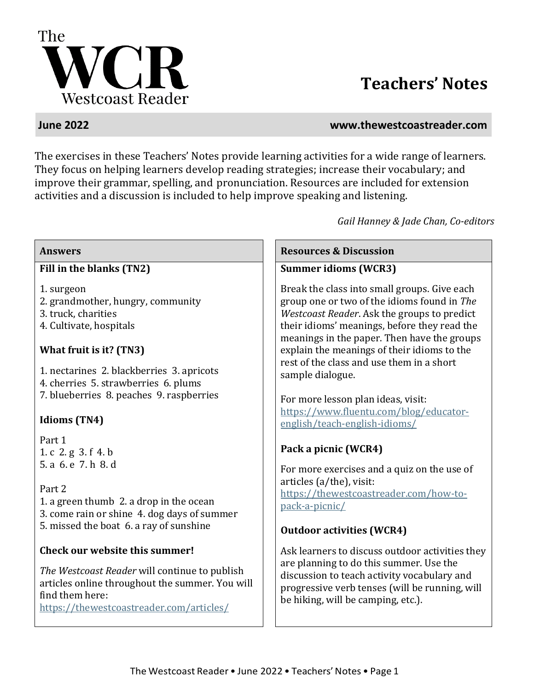

# **Teachers' Notes**

#### **June 2022 www.thewestcoastreader.com**

The exercises in these Teachers' Notes provide learning activities for a wide range of learners. They focus on helping learners develop reading strategies; increase their vocabulary; and improve their grammar, spelling, and pronunciation. Resources are included for extension activities and a discussion is included to help improve speaking and listening.

*Gail Hanney & Jade Chan, Co-editors*

#### **Fill in the blanks (TN2)**

- 1. surgeon
- 2. grandmother, hungry, community
- 3. truck, charities
- 4. Cultivate, hospitals

### **What fruit is it? (TN3)**

1. nectarines 2. blackberries 3. apricots 4. cherries 5. strawberries 6. plums 7. blueberries 8. peaches 9. raspberries

### **Idioms (TN4)**

Part 1 1. c 2. g 3. f 4. b 5. a 6. e 7. h 8. d

Part 2 1. a green thumb 2. a drop in the ocean 3. come rain or shine 4. dog days of summer 5. missed the boat 6. a ray of sunshine

### **Check our website this summer!**

*The Westcoast Reader* will continue to publish articles online throughout the summer. You will find them here:

<https://thewestcoastreader.com/articles/>

**Answers Resources & Discussion**

#### **Summer idioms (WCR3)**

Break the class into small groups. Give each group one or two of the idioms found in *The Westcoast Reader*. Ask the groups to predict their idioms' meanings, before they read the meanings in the paper. Then have the groups explain the meanings of their idioms to the rest of the class and use them in a short sample dialogue.

For more lesson plan ideas, visit: https://www.fluentu.com/blog/educatorenglish/teach-english-idioms/

### **Pack a picnic (WCR4)**

For more exercises and a quiz on the use of articles (a/the), visit: [https://thewestcoastreader.com/how-to](https://thewestcoastreader.com/how-to-pack-a-picnic/)[pack-a-picnic/](https://thewestcoastreader.com/how-to-pack-a-picnic/)

### **Outdoor activities (WCR4)**

Ask learners to discuss outdoor activities they are planning to do this summer. Use the discussion to teach activity vocabulary and progressive verb tenses (will be running, will be hiking, will be camping, etc.).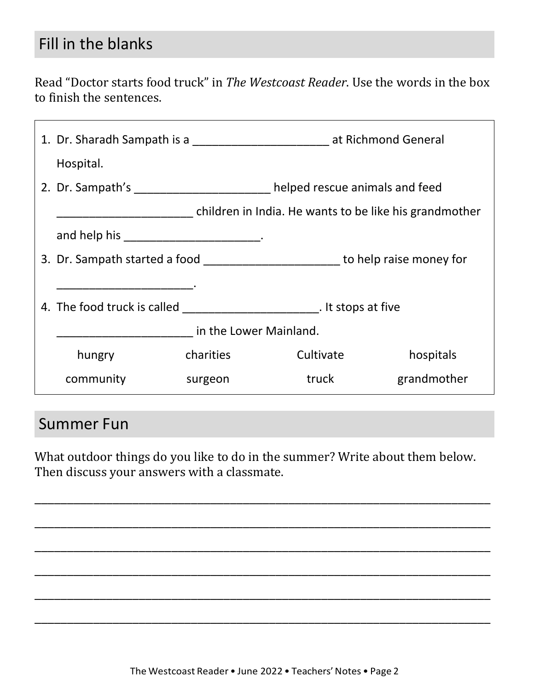## Fill in the blanks

Read "Doctor starts food truck" in *The Westcoast Reader*. Use the words in the box to finish the sentences.

|                                                        |                                                                            | 1. Dr. Sharadh Sampath is a 1. Dr. Sharadh Sampath is a 1. Dr. Sharadh Sampath is a 1. Dr. Sharadh Sampath is a 1. Dr. Sharadh Sampath is a 1. Dr. Sharadh Sampath is a 1. Dr. Sharadh Sampath Islam Islam Islam Islam Islam I |                                                                                   |  |
|--------------------------------------------------------|----------------------------------------------------------------------------|--------------------------------------------------------------------------------------------------------------------------------------------------------------------------------------------------------------------------------|-----------------------------------------------------------------------------------|--|
| Hospital.                                              |                                                                            |                                                                                                                                                                                                                                |                                                                                   |  |
|                                                        | 2. Dr. Sampath's __________________________ helped rescue animals and feed |                                                                                                                                                                                                                                |                                                                                   |  |
| children in India. He wants to be like his grandmother |                                                                            |                                                                                                                                                                                                                                |                                                                                   |  |
| and help his ________________________________.         |                                                                            |                                                                                                                                                                                                                                |                                                                                   |  |
|                                                        |                                                                            |                                                                                                                                                                                                                                | 3. Dr. Sampath started a food ____________________________to help raise money for |  |
|                                                        |                                                                            |                                                                                                                                                                                                                                |                                                                                   |  |
|                                                        |                                                                            |                                                                                                                                                                                                                                |                                                                                   |  |
| in the Lower Mainland.                                 |                                                                            |                                                                                                                                                                                                                                |                                                                                   |  |
| hungry                                                 | charities                                                                  | Cultivate                                                                                                                                                                                                                      | hospitals                                                                         |  |
| community                                              | surgeon                                                                    | truck                                                                                                                                                                                                                          | grandmother                                                                       |  |
|                                                        |                                                                            |                                                                                                                                                                                                                                |                                                                                   |  |

## Summer Fun

What outdoor things do you like to do in the summer? Write about them below. Then discuss your answers with a classmate.

\_\_\_\_\_\_\_\_\_\_\_\_\_\_\_\_\_\_\_\_\_\_\_\_\_\_\_\_\_\_\_\_\_\_\_\_\_\_\_\_\_\_\_\_\_\_\_\_\_\_\_\_\_\_\_\_\_\_\_\_\_\_\_\_\_\_\_\_\_\_

\_\_\_\_\_\_\_\_\_\_\_\_\_\_\_\_\_\_\_\_\_\_\_\_\_\_\_\_\_\_\_\_\_\_\_\_\_\_\_\_\_\_\_\_\_\_\_\_\_\_\_\_\_\_\_\_\_\_\_\_\_\_\_\_\_\_\_\_\_\_

\_\_\_\_\_\_\_\_\_\_\_\_\_\_\_\_\_\_\_\_\_\_\_\_\_\_\_\_\_\_\_\_\_\_\_\_\_\_\_\_\_\_\_\_\_\_\_\_\_\_\_\_\_\_\_\_\_\_\_\_\_\_\_\_\_\_\_\_\_\_

\_\_\_\_\_\_\_\_\_\_\_\_\_\_\_\_\_\_\_\_\_\_\_\_\_\_\_\_\_\_\_\_\_\_\_\_\_\_\_\_\_\_\_\_\_\_\_\_\_\_\_\_\_\_\_\_\_\_\_\_\_\_\_\_\_\_\_\_\_\_

\_\_\_\_\_\_\_\_\_\_\_\_\_\_\_\_\_\_\_\_\_\_\_\_\_\_\_\_\_\_\_\_\_\_\_\_\_\_\_\_\_\_\_\_\_\_\_\_\_\_\_\_\_\_\_\_\_\_\_\_\_\_\_\_\_\_\_\_\_\_

\_\_\_\_\_\_\_\_\_\_\_\_\_\_\_\_\_\_\_\_\_\_\_\_\_\_\_\_\_\_\_\_\_\_\_\_\_\_\_\_\_\_\_\_\_\_\_\_\_\_\_\_\_\_\_\_\_\_\_\_\_\_\_\_\_\_\_\_\_\_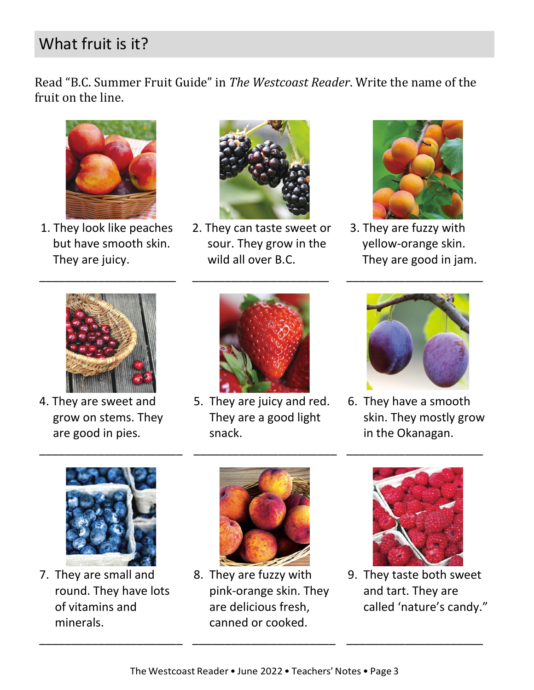# What fruit is it?

Read "B.C. Summer Fruit Guide" in *The Westcoast Reader*. Write the name of the fruit on the line.



1. They look like peaches but have smooth skin. They are juicy.

\_\_\_\_\_\_\_\_\_\_\_\_\_\_\_\_\_\_\_\_\_



2. They can taste sweet or sour. They grow in the wild all over B.C.

\_\_\_\_\_\_\_\_\_\_\_\_\_\_\_\_\_\_\_\_\_



3. They are fuzzy with yellow-orange skin. They are good in jam.

\_\_\_\_\_\_\_\_\_\_\_\_\_\_\_\_\_\_\_\_\_



4. They are sweet and grow on stems. They are good in pies.



5. They are juicy and red. They are a good light snack.

\_\_\_\_\_\_\_\_\_\_\_\_\_\_\_\_\_\_\_\_\_\_



6. They have a smooth skin. They mostly grow in the Okanagan.

\_\_\_\_\_\_\_\_\_\_\_\_\_\_\_\_\_\_\_\_\_



\_\_\_\_\_\_\_\_\_\_\_\_\_\_\_\_\_\_\_\_\_\_

7. They are small and round. They have lots of vitamins and minerals.

\_\_\_\_\_\_\_\_\_\_\_\_\_\_\_\_\_\_\_\_\_\_



8. They are fuzzy with pink-orange skin. They are delicious fresh, canned or cooked.



9. They taste both sweet and tart. They are called 'nature's candy."

\_\_\_\_\_\_\_\_\_\_\_\_\_\_\_\_\_\_\_\_\_

\_\_\_\_\_\_\_\_\_\_\_\_\_\_\_\_\_\_\_\_\_\_